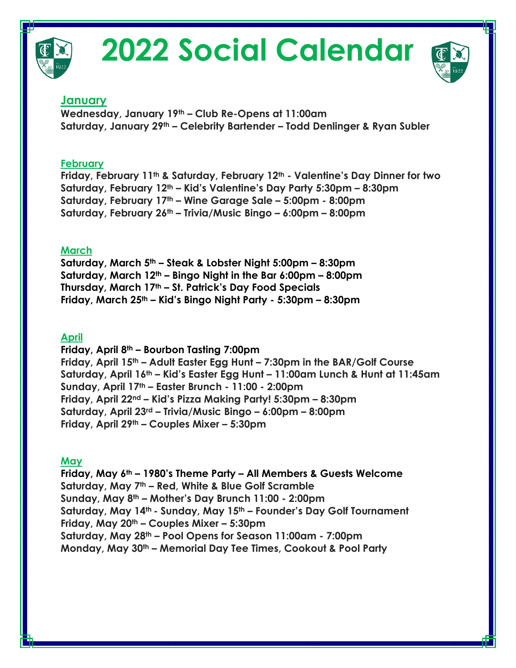

# **2022 Social Calendar**



## **January**

**Wednesday, January 19th – Club Re-Opens at 11:00am Saturday, January 29th – Celebrity Bartender – Todd Denlinger & Ryan Subler**

### **February**

**Friday, February 11th & Saturday, February 12th - Valentine's Day Dinner for two Saturday, February 12th – Kid's Valentine's Day Party 5:30pm – 8:30pm Saturday, February 17th – Wine Garage Sale – 5:00pm - 8:00pm Saturday, February 26th – Trivia/Music Bingo – 6:00pm – 8:00pm** 

### **March**

**Saturday, March 5th – Steak & Lobster Night 5:00pm – 8:30pm Saturday, March 12th – Bingo Night in the Bar 6:00pm – 8:00pm Thursday, March 17th – St. Patrick's Day Food Specials Friday, March 25th – Kid's Bingo Night Party - 5:30pm – 8:30pm** 

## **April**

**Friday, April 8th – Bourbon Tasting 7:00pm Friday, April 15th – Adult Easter Egg Hunt – 7:30pm in the BAR/Golf Course Saturday, April 16th – Kid's Easter Egg Hunt – 11:00am Lunch & Hunt at 11:45am Sunday, April 17th – Easter Brunch - 11:00 - 2:00pm Friday, April 22nd – Kid's Pizza Making Party! 5:30pm – 8:30pm Saturday, April 23rd – Trivia/Music Bingo – 6:00pm – 8:00pm Friday, April 29th – Couples Mixer – 5:30pm** 

## **May**

**Friday, May 6th – 1980's Theme Party – All Members & Guests Welcome Saturday, May 7th – Red, White & Blue Golf Scramble Sunday, May 8th – Mother's Day Brunch 11:00 - 2:00pm Saturday, May 14th - Sunday, May 15th – Founder's Day Golf Tournament Friday, May 20th – Couples Mixer – 5:30pm Saturday, May 28th – Pool Opens for Season 11:00am - 7:00pm Monday, May 30th – Memorial Day Tee Times, Cookout & Pool Party**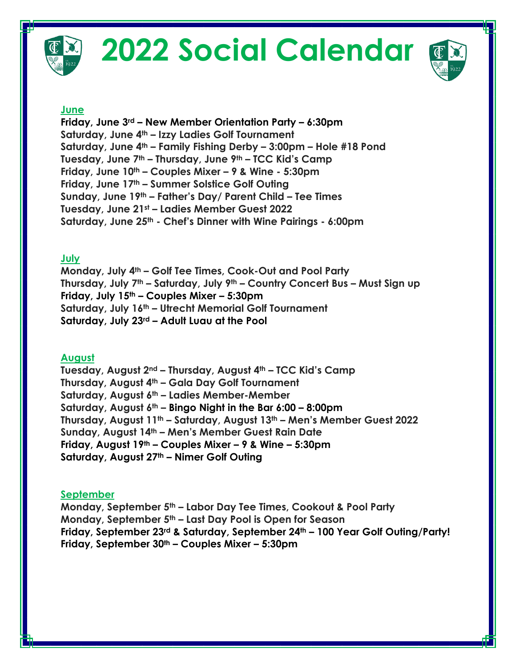

# **2022 Social Calendar**



#### **June**

**Friday, June 3rd – New Member Orientation Party – 6:30pm Saturday, June 4th – Izzy Ladies Golf Tournament Saturday, June 4th – Family Fishing Derby – 3:00pm – Hole #18 Pond Tuesday, June 7th – Thursday, June 9th – TCC Kid's Camp Friday, June 10th – Couples Mixer – 9 & Wine - 5:30pm Friday, June 17th – Summer Solstice Golf Outing Sunday, June 19th – Father's Day/ Parent Child – Tee Times Tuesday, June 21st – Ladies Member Guest 2022 Saturday, June 25th - Chef's Dinner with Wine Pairings - 6:00pm**

#### **July**

**Monday, July 4th – Golf Tee Times, Cook-Out and Pool Party Thursday, July 7th – Saturday, July 9th – Country Concert Bus – Must Sign up Friday, July 15th – Couples Mixer – 5:30pm Saturday, July 16th – Utrecht Memorial Golf Tournament Saturday, July 23rd – Adult Luau at the Pool** 

#### **August**

**Tuesday, August 2nd – Thursday, August 4th – TCC Kid's Camp Thursday, August 4th – Gala Day Golf Tournament Saturday, August 6th – Ladies Member-Member Saturday, August 6th – Bingo Night in the Bar 6:00 – 8:00pm Thursday, August 11th – Saturday, August 13th – Men's Member Guest 2022 Sunday, August 14th – Men's Member Guest Rain Date Friday, August 19th – Couples Mixer – 9 & Wine – 5:30pm Saturday, August 27th – Nimer Golf Outing** 

#### **September**

**Monday, September 5th – Labor Day Tee Times, Cookout & Pool Party Monday, September 5th – Last Day Pool is Open for Season Friday, September 23rd & Saturday, September 24th – 100 Year Golf Outing/Party! Friday, September 30th – Couples Mixer – 5:30pm**